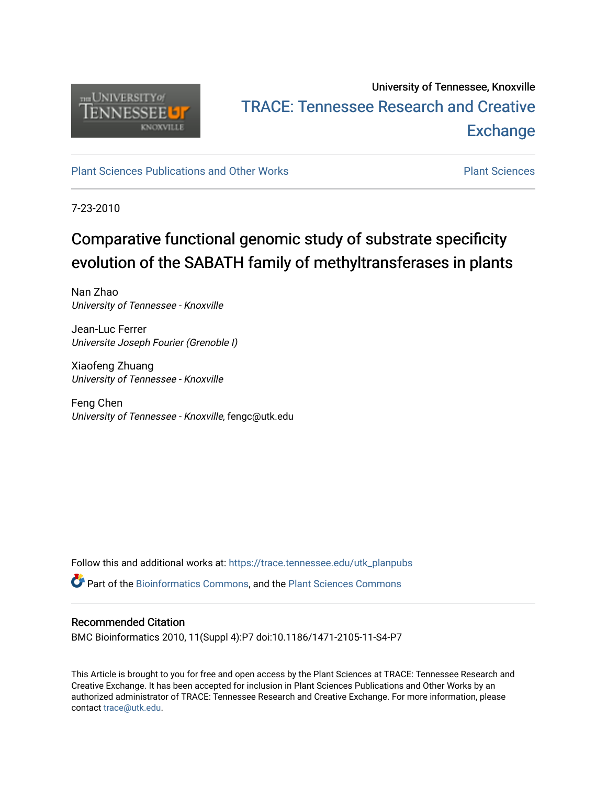

## University of Tennessee, Knoxville TRACE: T[ennessee Research and Cr](https://trace.tennessee.edu/)eative **Exchange**

[Plant Sciences Publications and Other Works](https://trace.tennessee.edu/utk_planpubs) [Plant Sciences](https://trace.tennessee.edu/utk-plan) 

7-23-2010

# Comparative functional genomic study of substrate specificity evolution of the SABATH family of methyltransferases in plants

Nan Zhao University of Tennessee - Knoxville

Jean-Luc Ferrer Universite Joseph Fourier (Grenoble I)

Xiaofeng Zhuang University of Tennessee - Knoxville

Feng Chen University of Tennessee - Knoxville, fengc@utk.edu

Follow this and additional works at: [https://trace.tennessee.edu/utk\\_planpubs](https://trace.tennessee.edu/utk_planpubs?utm_source=trace.tennessee.edu%2Futk_planpubs%2F57&utm_medium=PDF&utm_campaign=PDFCoverPages) 

Part of the [Bioinformatics Commons,](https://network.bepress.com/hgg/discipline/110?utm_source=trace.tennessee.edu%2Futk_planpubs%2F57&utm_medium=PDF&utm_campaign=PDFCoverPages) and the [Plant Sciences Commons](https://network.bepress.com/hgg/discipline/102?utm_source=trace.tennessee.edu%2Futk_planpubs%2F57&utm_medium=PDF&utm_campaign=PDFCoverPages)

### Recommended Citation

BMC Bioinformatics 2010, 11(Suppl 4):P7 doi:10.1186/1471-2105-11-S4-P7

This Article is brought to you for free and open access by the Plant Sciences at TRACE: Tennessee Research and Creative Exchange. It has been accepted for inclusion in Plant Sciences Publications and Other Works by an authorized administrator of TRACE: Tennessee Research and Creative Exchange. For more information, please contact [trace@utk.edu](mailto:trace@utk.edu).